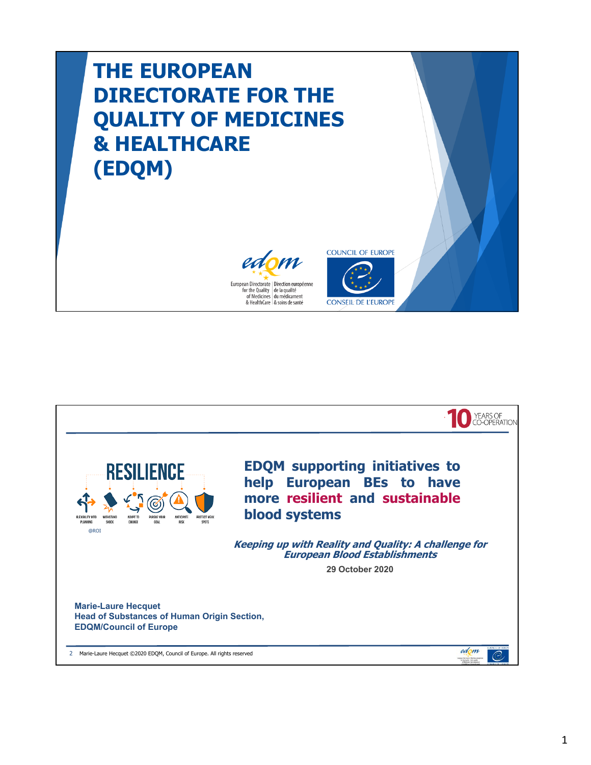## **THE EUROPEAN DIRECTORATE FOR THE QUALITY OF MEDICINES & HEALTHCARE (EDQM)**





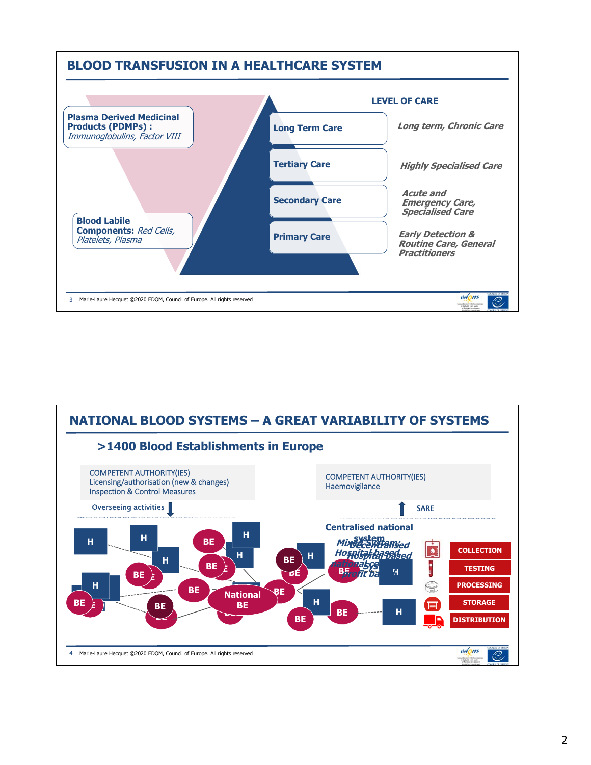

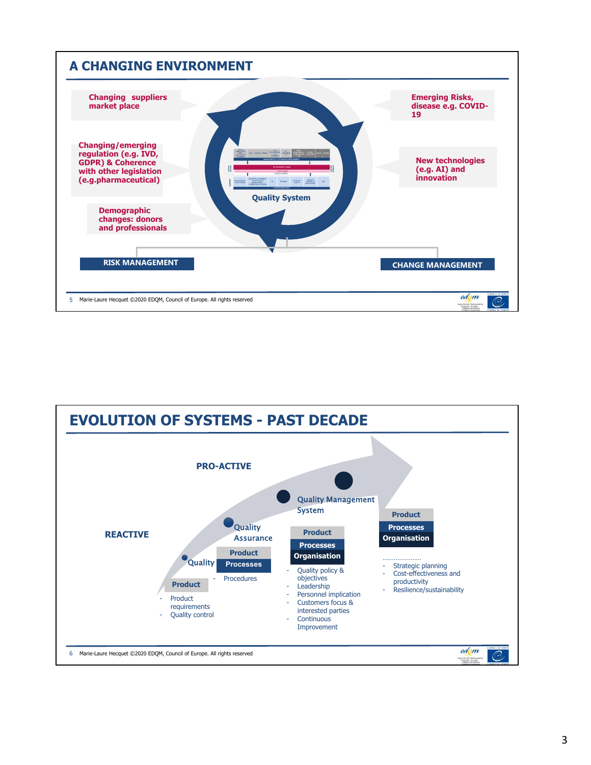

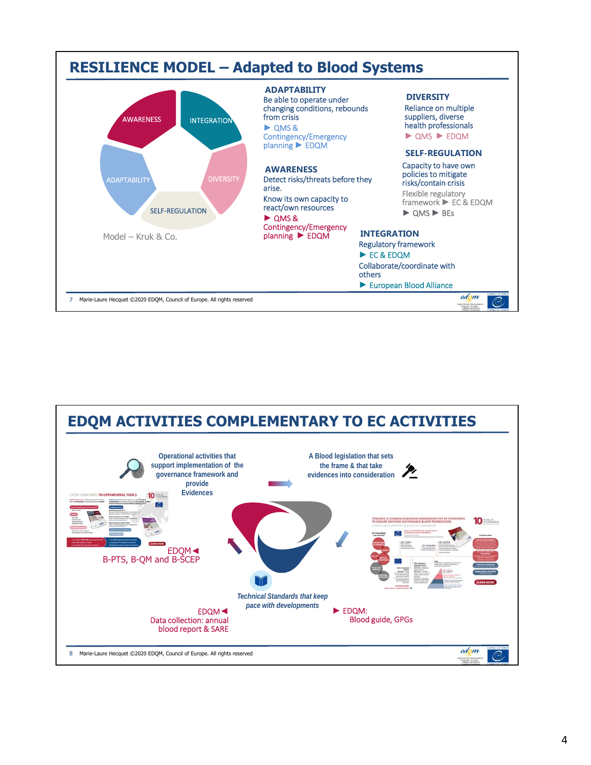

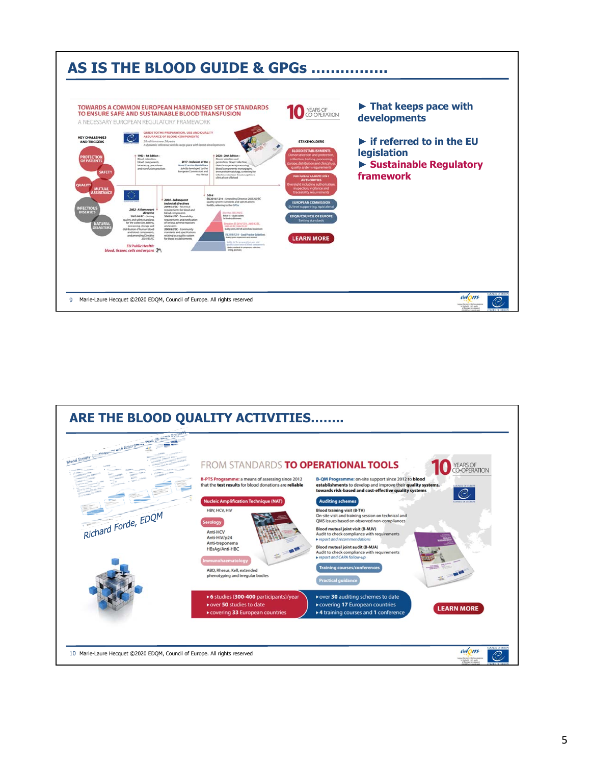

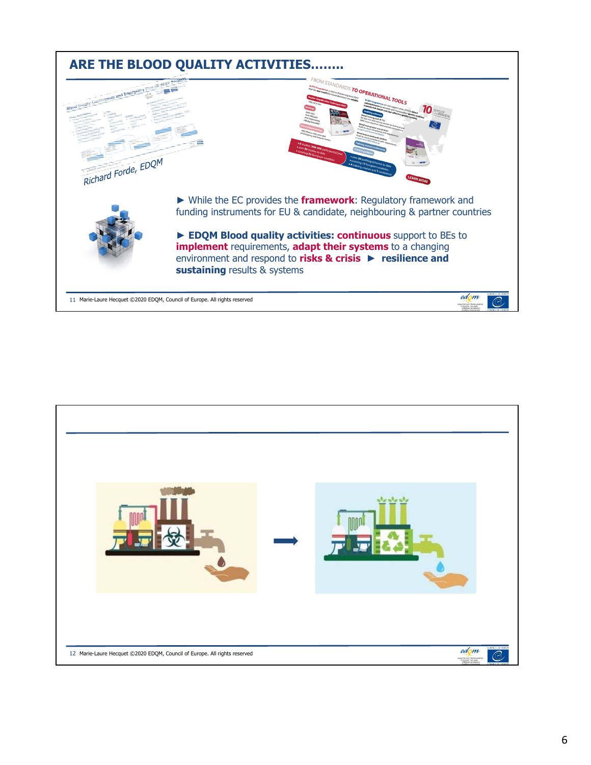

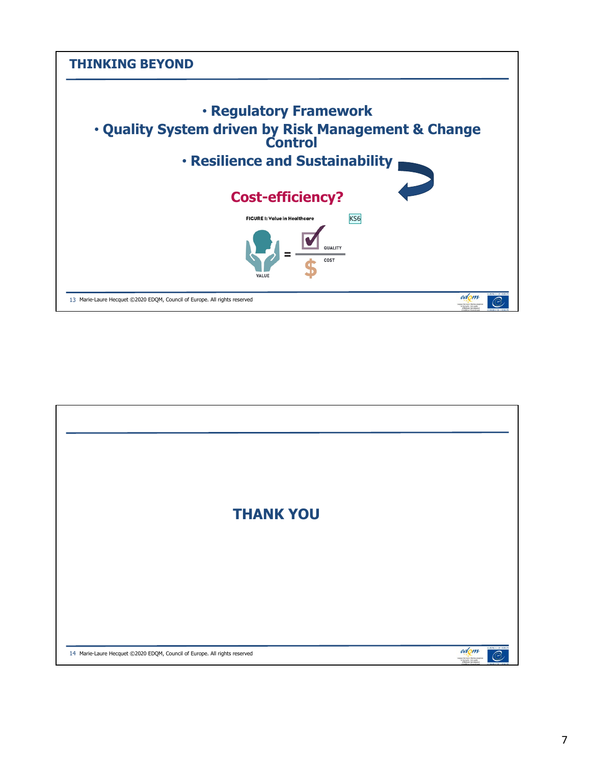

| <b>THANK YOU</b>                                                          |                                                   |
|---------------------------------------------------------------------------|---------------------------------------------------|
|                                                                           |                                                   |
|                                                                           |                                                   |
|                                                                           |                                                   |
|                                                                           | COUNCIL OF HURUP                                  |
| 14 Marie-Laure Hecquet @2020 EDQM, Council of Europe. All rights reserved | edom<br>$\circ$<br>for the Dunling (or largester) |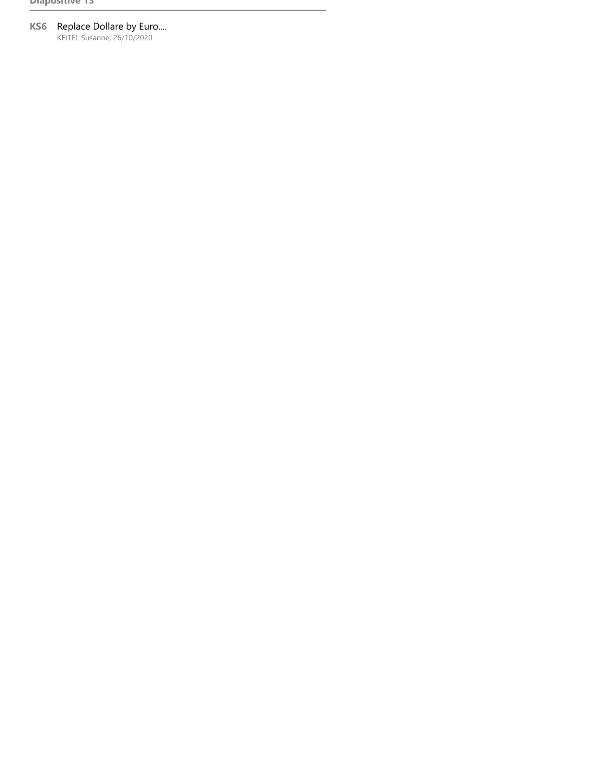## **KS6** Replace Dollare by Euro....

KEITEL Susanne; 26/10/2020